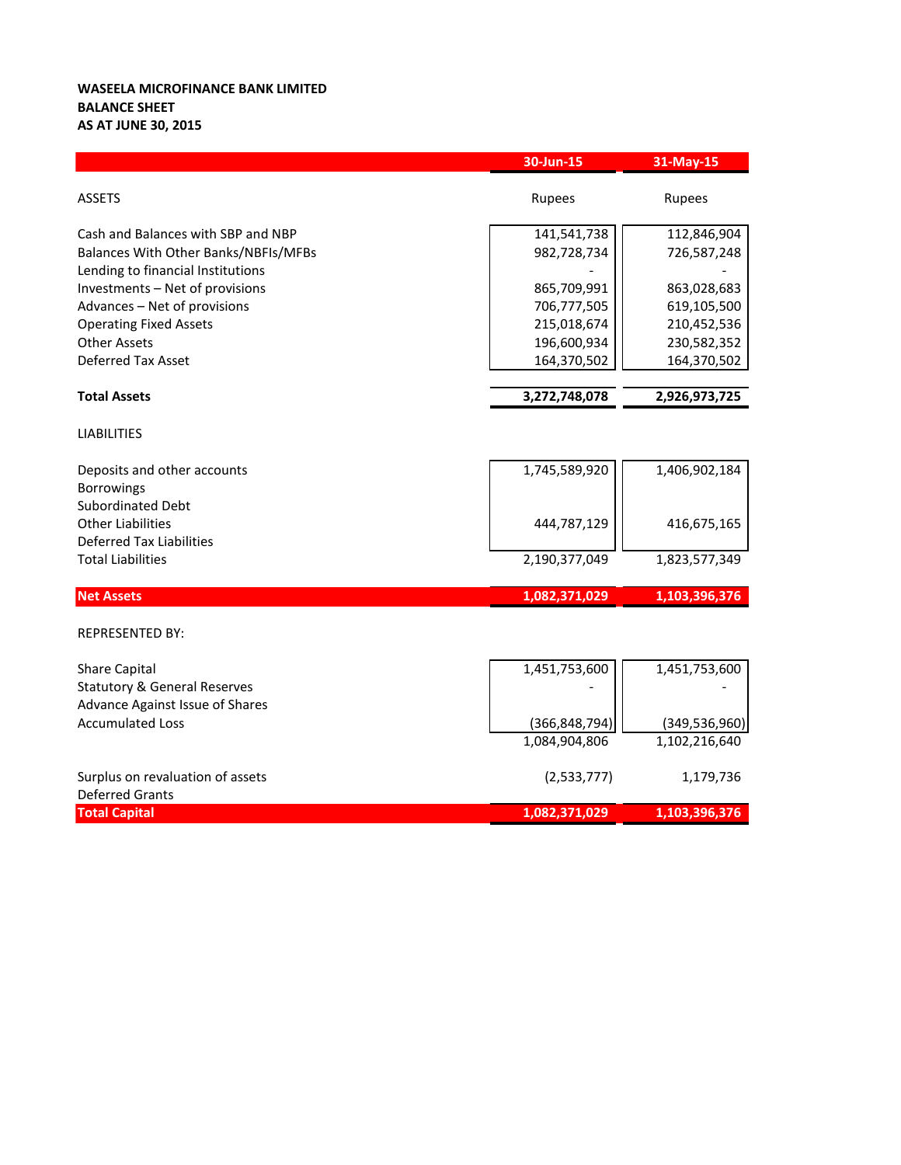## **WASEELA MICROFINANCE BANK LIMITED BALANCE SHEET AS AT JUNE 30, 2015**

|                                         | 30-Jun-15       | 31-May-15       |
|-----------------------------------------|-----------------|-----------------|
| <b>ASSETS</b>                           | Rupees          | Rupees          |
| Cash and Balances with SBP and NBP      | 141,541,738     | 112,846,904     |
| Balances With Other Banks/NBFIs/MFBs    | 982,728,734     | 726,587,248     |
| Lending to financial Institutions       |                 |                 |
| Investments - Net of provisions         | 865,709,991     | 863,028,683     |
| Advances - Net of provisions            | 706,777,505     | 619,105,500     |
| <b>Operating Fixed Assets</b>           | 215,018,674     | 210,452,536     |
| <b>Other Assets</b>                     | 196,600,934     | 230,582,352     |
| <b>Deferred Tax Asset</b>               | 164,370,502     | 164,370,502     |
| <b>Total Assets</b>                     | 3,272,748,078   | 2,926,973,725   |
| <b>LIABILITIES</b>                      |                 |                 |
| Deposits and other accounts             | 1,745,589,920   | 1,406,902,184   |
| <b>Borrowings</b>                       |                 |                 |
| <b>Subordinated Debt</b>                |                 |                 |
| <b>Other Liabilities</b>                | 444,787,129     | 416,675,165     |
| <b>Deferred Tax Liabilities</b>         |                 |                 |
| <b>Total Liabilities</b>                | 2,190,377,049   | 1,823,577,349   |
| <b>Net Assets</b>                       | 1,082,371,029   | 1,103,396,376   |
| <b>REPRESENTED BY:</b>                  |                 |                 |
| <b>Share Capital</b>                    | 1,451,753,600   | 1,451,753,600   |
| <b>Statutory &amp; General Reserves</b> |                 |                 |
| <b>Advance Against Issue of Shares</b>  |                 |                 |
| <b>Accumulated Loss</b>                 | (366, 848, 794) | (349, 536, 960) |
|                                         | 1,084,904,806   | 1,102,216,640   |
| Surplus on revaluation of assets        | (2,533,777)     | 1,179,736       |
| <b>Deferred Grants</b>                  |                 |                 |
| <b>Total Capital</b>                    | 1,082,371,029   | 1,103,396,376   |